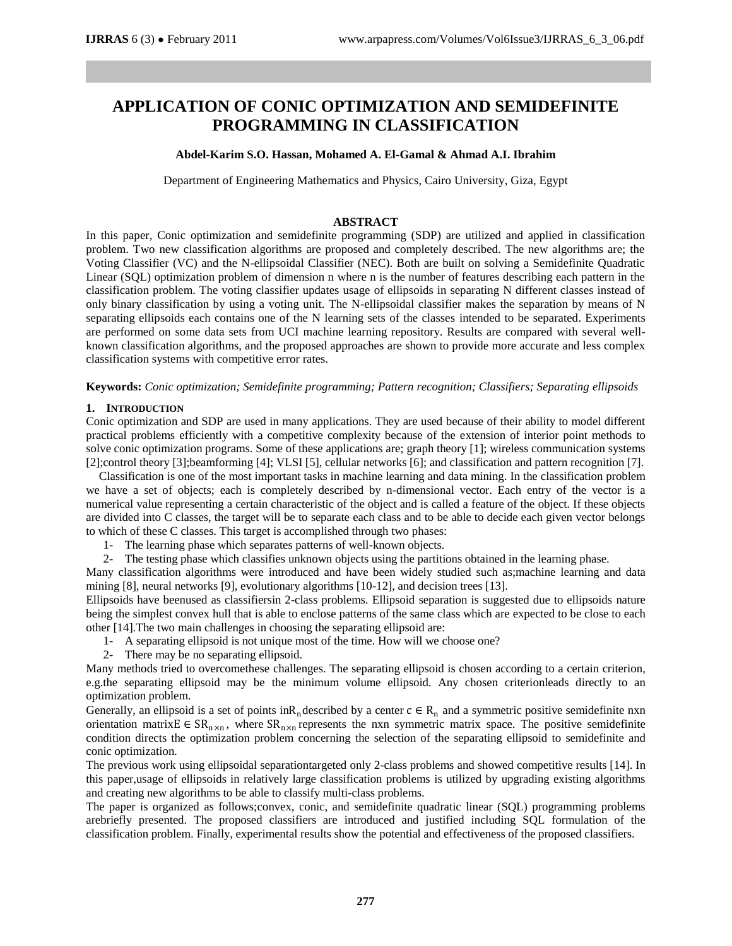# **APPLICATION OF CONIC OPTIMIZATION AND SEMIDEFINITE PROGRAMMING IN CLASSIFICATION**

# **Abdel-Karim S.O. Hassan, Mohamed A. El-Gamal & Ahmad A.I. Ibrahim**

Department of Engineering Mathematics and Physics, Cairo University, Giza, Egypt

## **ABSTRACT**

In this paper, Conic optimization and semidefinite programming (SDP) are utilized and applied in classification problem. Two new classification algorithms are proposed and completely described. The new algorithms are; the Voting Classifier (VC) and the N-ellipsoidal Classifier (NEC). Both are built on solving a Semidefinite Quadratic Linear (SQL) optimization problem of dimension n where n is the number of features describing each pattern in the classification problem. The voting classifier updates usage of ellipsoids in separating N different classes instead of only binary classification by using a voting unit. The N-ellipsoidal classifier makes the separation by means of N separating ellipsoids each contains one of the N learning sets of the classes intended to be separated. Experiments are performed on some data sets from UCI machine learning repository. Results are compared with several wellknown classification algorithms, and the proposed approaches are shown to provide more accurate and less complex classification systems with competitive error rates.

# **Keywords:** *Conic optimization; Semidefinite programming; Pattern recognition; Classifiers; Separating ellipsoids*

# **1. INTRODUCTION**

Conic optimization and SDP are used in many applications. They are used because of their ability to model different practical problems efficiently with a competitive complexity because of the extension of interior point methods to solve conic optimization programs. Some of these applications are; graph theory [1]; wireless communication systems [2];control theory [3];beamforming [4]; VLSI [5], cellular networks [6]; and classification and pattern recognition [7].

Classification is one of the most important tasks in machine learning and data mining. In the classification problem we have a set of objects; each is completely described by n-dimensional vector. Each entry of the vector is a numerical value representing a certain characteristic of the object and is called a feature of the object. If these objects are divided into C classes, the target will be to separate each class and to be able to decide each given vector belongs to which of these C classes. This target is accomplished through two phases:

- 1- The learning phase which separates patterns of well-known objects.
- 2- The testing phase which classifies unknown objects using the partitions obtained in the learning phase.

Many classification algorithms were introduced and have been widely studied such as;machine learning and data mining [8], neural networks [9], evolutionary algorithms [10-12], and decision trees [13].

Ellipsoids have beenused as classifiersin 2-class problems. Ellipsoid separation is suggested due to ellipsoids nature being the simplest convex hull that is able to enclose patterns of the same class which are expected to be close to each other [14].The two main challenges in choosing the separating ellipsoid are:

- 1- A separating ellipsoid is not unique most of the time. How will we choose one?
- 2- There may be no separating ellipsoid.

Many methods tried to overcomethese challenges. The separating ellipsoid is chosen according to a certain criterion, e.g.the separating ellipsoid may be the minimum volume ellipsoid. Any chosen criterionleads directly to an optimization problem.

Generally, an ellipsoid is a set of points in $R_n$  described by a center  $c \in R_n$  and a symmetric positive semidefinite nxn orientation matrix  $E \in SR_{n \times n}$ , where  $SR_{n \times n}$  represents the nxn symmetric matrix space. The positive semidefinite condition directs the optimization problem concerning the selection of the separating ellipsoid to semidefinite and conic optimization.

The previous work using ellipsoidal separationtargeted only 2-class problems and showed competitive results [14]. In this paper,usage of ellipsoids in relatively large classification problems is utilized by upgrading existing algorithms and creating new algorithms to be able to classify multi-class problems.

The paper is organized as follows;convex, conic, and semidefinite quadratic linear (SQL) programming problems arebriefly presented. The proposed classifiers are introduced and justified including SQL formulation of the classification problem. Finally, experimental results show the potential and effectiveness of the proposed classifiers.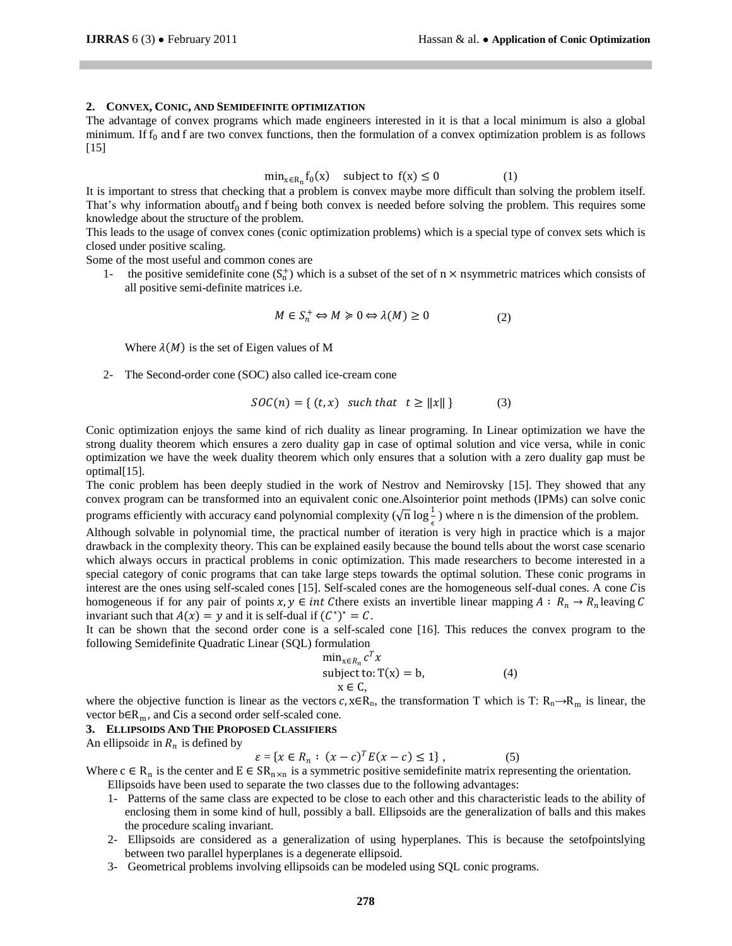#### **2. CONVEX, CONIC, AND SEMIDEFINITE OPTIMIZATION**

The advantage of convex programs which made engineers interested in it is that a local minimum is also a global minimum. If  $f_0$  and f are two convex functions, then the formulation of a convex optimization problem is as follows [15]

$$
\min_{x \in R_n} f_0(x) \quad \text{subject to } f(x) \le 0 \tag{1}
$$

It is important to stress that checking that a problem is convex maybe more difficult than solving the problem itself. That's why information aboutf<sub>0</sub> and f being both convex is needed before solving the problem. This requires some knowledge about the structure of the problem.

This leads to the usage of convex cones (conic optimization problems) which is a special type of convex sets which is closed under positive scaling.

Some of the most useful and common cones are

1- the positive semidefinite cone  $(S_n^+)$  which is a subset of the set of n  $\times$  nsymmetric matrices which consists of all positive semi-definite matrices i.e.

$$
M \in S_n^+ \Leftrightarrow M \ge 0 \Leftrightarrow \lambda(M) \ge 0 \tag{2}
$$

Where  $\lambda(M)$  is the set of Eigen values of M

2- The Second-order cone (SOC) also called ice-cream cone

$$
SOC(n) = \{ (t, x) \text{ such that } t \ge ||x|| \}
$$
 (3)

Conic optimization enjoys the same kind of rich duality as linear programing. In Linear optimization we have the strong duality theorem which ensures a zero duality gap in case of optimal solution and vice versa, while in conic optimization we have the week duality theorem which only ensures that a solution with a zero duality gap must be optimal[15].

The conic problem has been deeply studied in the work of Nestrov and Nemirovsky [15]. They showed that any convex program can be transformed into an equivalent conic one.Alsointerior point methods (IPMs) can solve conic programs efficiently with accuracy  $\epsilon$ and polynomial complexity  $(\sqrt{n} \log \frac{1}{\epsilon})$  where n is the dimension of the problem.

Although solvable in polynomial time, the practical number of iteration is very high in practice which is a major drawback in the complexity theory. This can be explained easily because the bound tells about the worst case scenario which always occurs in practical problems in conic optimization. This made researchers to become interested in a special category of conic programs that can take large steps towards the optimal solution. These conic programs in interest are the ones using self-scaled cones [15]. Self-scaled cones are the homogeneous self-dual cones. A cone Cis homogeneous if for any pair of points  $x, y \in int$  Cthere exists an invertible linear mapping  $A: R_n \to R_n$  leaving C invariant such that  $A(x) = y$  and it is self-dual if  $(C^*)^* = C$ .

It can be shown that the second order cone is a self-scaled cone [16]. This reduces the convex program to the following Semidefinite Quadratic Linear (SQL) formulation

$$
\min_{x \in R_n} c^T x
$$
  
subject to: T(x) = b,  
 $x \in C$ , (4)

where the objective function is linear as the vectors  $c, x \in R_n$ , the transformation T which is T:  $R_n \to R_m$  is linear, the vector  $b \in R_m$ , and Cis a second order self-scaled cone.

# **3. ELLIPSOIDS AND THE PROPOSED CLASSIFIERS**

An ellipsoid $\varepsilon$  in  $R_n$  is defined by

$$
\varepsilon = \{ x \in R_n : (x - c)^T E(x - c) \le 1 \},\tag{5}
$$

Where  $c \in R_n$  is the center and  $E \in SR_{n \times n}$  is a symmetric positive semidefinite matrix representing the orientation. Ellipsoids have been used to separate the two classes due to the following advantages:

- 1- Patterns of the same class are expected to be close to each other and this characteristic leads to the ability of enclosing them in some kind of hull, possibly a ball. Ellipsoids are the generalization of balls and this makes the procedure scaling invariant.
- 2- Ellipsoids are considered as a generalization of using hyperplanes. This is because the setofpointslying between two parallel hyperplanes is a degenerate ellipsoid.
- 3- Geometrical problems involving ellipsoids can be modeled using SQL conic programs.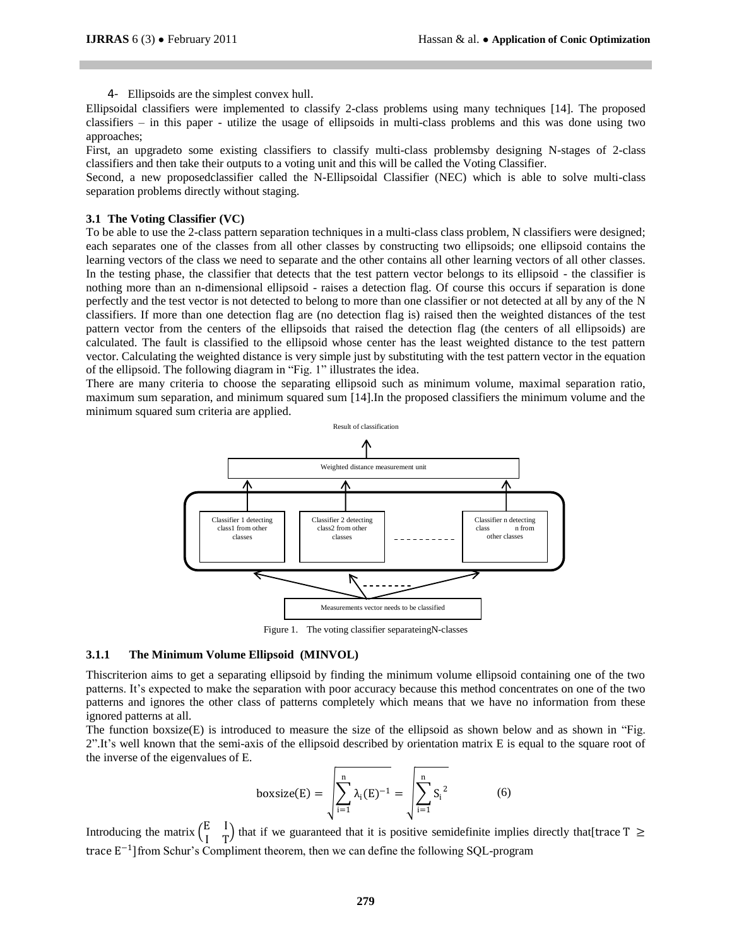4- Ellipsoids are the simplest convex hull.

Ellipsoidal classifiers were implemented to classify 2-class problems using many techniques [14]. The proposed classifiers – in this paper - utilize the usage of ellipsoids in multi-class problems and this was done using two approaches;

First, an upgradeto some existing classifiers to classify multi-class problemsby designing N-stages of 2-class classifiers and then take their outputs to a voting unit and this will be called the Voting Classifier.

Second, a new proposedclassifier called the N-Ellipsoidal Classifier (NEC) which is able to solve multi-class separation problems directly without staging.

## **3.1 The Voting Classifier (VC)**

To be able to use the 2-class pattern separation techniques in a multi-class class problem, N classifiers were designed; each separates one of the classes from all other classes by constructing two ellipsoids; one ellipsoid contains the learning vectors of the class we need to separate and the other contains all other learning vectors of all other classes. In the testing phase, the classifier that detects that the test pattern vector belongs to its ellipsoid - the classifier is nothing more than an n-dimensional ellipsoid - raises a detection flag. Of course this occurs if separation is done perfectly and the test vector is not detected to belong to more than one classifier or not detected at all by any of the N classifiers. If more than one detection flag are (no detection flag is) raised then the weighted distances of the test pattern vector from the centers of the ellipsoids that raised the detection flag (the centers of all ellipsoids) are calculated. The fault is classified to the ellipsoid whose center has the least weighted distance to the test pattern vector. Calculating the weighted distance is very simple just by substituting with the test pattern vector in the equation of the ellipsoid. The following diagram in "Fig. 1" illustrates the idea.

There are many criteria to choose the separating ellipsoid such as minimum volume, maximal separation ratio, maximum sum separation, and minimum squared sum [14].In the proposed classifiers the minimum volume and the minimum squared sum criteria are applied.



Figure 1. The voting classifier separateingN-classes

## **3.1.1 The Minimum Volume Ellipsoid (MINVOL)**

Thiscriterion aims to get a separating ellipsoid by finding the minimum volume ellipsoid containing one of the two patterns. It's expected to make the separation with poor accuracy because this method concentrates on one of the two patterns and ignores the other class of patterns completely which means that we have no information from these ignored patterns at all.

The function boxsize(E) is introduced to measure the size of the ellipsoid as shown below and as shown in "Fig. 2".It's well known that the semi-axis of the ellipsoid described by orientation matrix E is equal to the square root of the inverse of the eigenvalues of E.

$$
boxsize(E) = \sqrt{\sum_{i=1}^{n} \lambda_i(E)^{-1}} = \sqrt{\sum_{i=1}^{n} S_i^{2}}
$$
 (6)

Introducing the matrix  $\begin{pmatrix} E & I \\ I & \tau \end{pmatrix}$  $\begin{bmatrix} 1 \\ 1 \end{bmatrix}$  that if we guaranteed that it is positive semidefinite implies directly that [trace T  $\geq$ trace  $E^{-1}$ ] from Schur's Compliment theorem, then we can define the following SQL-program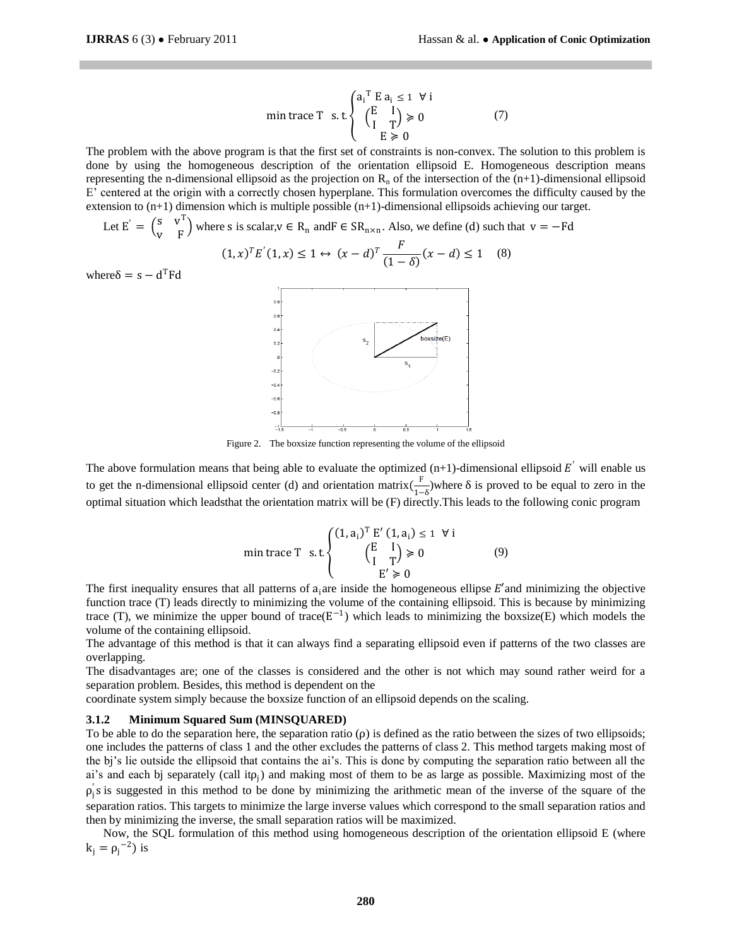min trace T s.t 
$$
\begin{cases} a_i^T E a_i \le 1 \forall i \\ \begin{pmatrix} E & I \\ I & T \end{pmatrix} \ge 0 \\ E \ge 0 \end{cases}
$$
 (7)

The problem with the above program is that the first set of constraints is non-convex. The solution to this problem is done by using the homogeneous description of the orientation ellipsoid E. Homogeneous description means representing the n-dimensional ellipsoid as the projection on  $R_n$  of the intersection of the (n+1)-dimensional ellipsoid E' centered at the origin with a correctly chosen hyperplane. This formulation overcomes the difficulty caused by the extension to (n+1) dimension which is multiple possible (n+1)-dimensional ellipsoids achieving our target.

Let 
$$
E' = \begin{pmatrix} s & v^T \\ v & F \end{pmatrix}
$$
 where  $s$  is scalar,  $v \in R_n$  and  $F \in SR_{n \times n}$ . Also, we define (d) such that  $v = -Fd$   
\n $(1, x)^T E'(1, x) \le 1 \leftrightarrow (x - d)^T \frac{F}{(1 - \delta)}(x - d) \le 1$  (8)

where  $\delta = s - d^T F d$ 



Figure 2. The boxsize function representing the volume of the ellipsoid

The above formulation means that being able to evaluate the optimized  $(n+1)$ -dimensional ellipsoid  $E'$  will enable us to get the n-dimensional ellipsoid center (d) and orientation matrix $\left(\frac{F}{\epsilon}\right)^2$  $\frac{1}{1-\delta}$ )where  $\delta$  is proved to be equal to zero in the optimal situation which leadsthat the orientation matrix will be (F) directly.This leads to the following conic program

$$
\text{min trace } T \quad \text{s.t.} \begin{cases} (1, a_i)^T \ E' \ (1, a_i) \le 1 \ \forall \ i \\ \begin{pmatrix} E & I \\ I & T \end{pmatrix} \ge 0 \\ E' \ge 0 \end{cases} \tag{9}
$$

The first inequality ensures that all patterns of  $a_i$  are inside the homogeneous ellipse  $E'$  and minimizing the objective function trace (T) leads directly to minimizing the volume of the containing ellipsoid. This is because by minimizing trace (T), we minimize the upper bound of trace( $E^{-1}$ ) which leads to minimizing the boxsize(E) which models the volume of the containing ellipsoid.

The advantage of this method is that it can always find a separating ellipsoid even if patterns of the two classes are overlapping.

The disadvantages are; one of the classes is considered and the other is not which may sound rather weird for a separation problem. Besides, this method is dependent on the

coordinate system simply because the boxsize function of an ellipsoid depends on the scaling.

## **3.1.2 Minimum Squared Sum (MINSQUARED)**

To be able to do the separation here, the separation ratio  $(\rho)$  is defined as the ratio between the sizes of two ellipsoids; one includes the patterns of class 1 and the other excludes the patterns of class 2. This method targets making most of the bj's lie outside the ellipsoid that contains the ai's. This is done by computing the separation ratio between all the ai's and each bj separately (call it $p_j$ ) and making most of them to be as large as possible. Maximizing most of the  $\rho_1$ 's is suggested in this method to be done by minimizing the arithmetic mean of the inverse of the square of the separation ratios. This targets to minimize the large inverse values which correspond to the small separation ratios and then by minimizing the inverse, the small separation ratios will be maximized.

Now, the SQL formulation of this method using homogeneous description of the orientation ellipsoid E (where  $k_j = \rho_j^{-2}$ ) is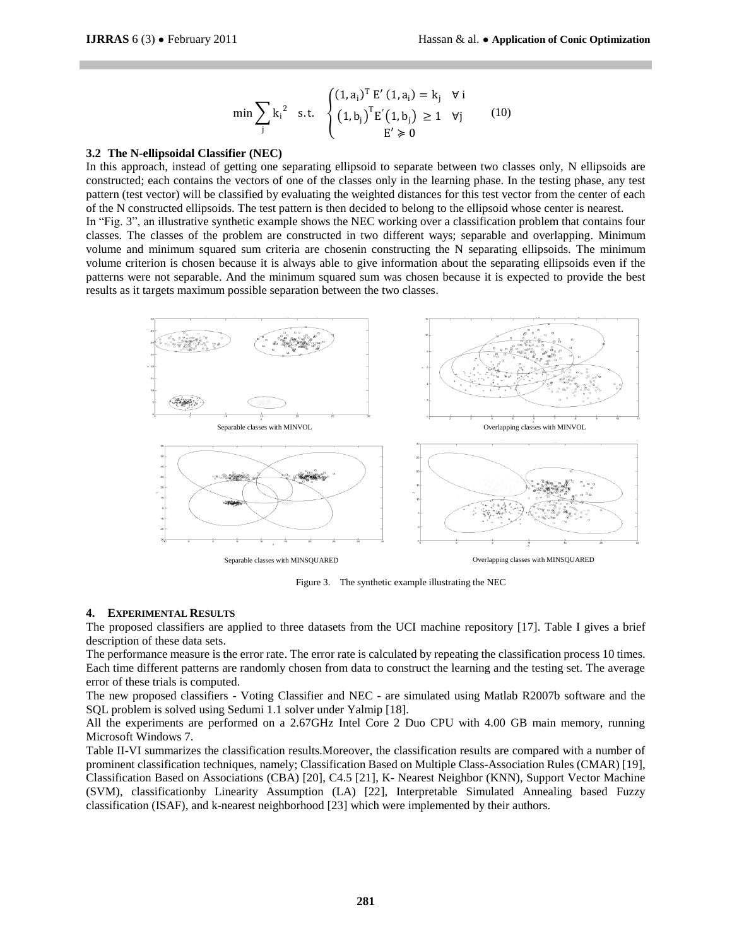$$
\min \sum_{j} k_{i}^{2} \text{ s.t. } \begin{cases} (1, a_{i})^{T} E'(1, a_{i}) = k_{j} & \forall i \\ (1, b_{j})^{T} E'(1, b_{j}) \ge 1 & \forall j \\ E' \ge 0 \end{cases} \tag{10}
$$

#### **3.2 The N-ellipsoidal Classifier (NEC)**

In this approach, instead of getting one separating ellipsoid to separate between two classes only, N ellipsoids are constructed; each contains the vectors of one of the classes only in the learning phase. In the testing phase, any test pattern (test vector) will be classified by evaluating the weighted distances for this test vector from the center of each of the N constructed ellipsoids. The test pattern is then decided to belong to the ellipsoid whose center is nearest.

In "Fig. 3", an illustrative synthetic example shows the NEC working over a classification problem that contains four classes. The classes of the problem are constructed in two different ways; separable and overlapping. Minimum volume and minimum squared sum criteria are chosenin constructing the N separating ellipsoids. The minimum volume criterion is chosen because it is always able to give information about the separating ellipsoids even if the patterns were not separable. And the minimum squared sum was chosen because it is expected to provide the best results as it targets maximum possible separation between the two classes.



Figure 3. The synthetic example illustrating the NEC

#### **4. EXPERIMENTAL RESULTS**

The proposed classifiers are applied to three datasets from the UCI machine repository [17]. Table I gives a brief description of these data sets.

The performance measure is the error rate. The error rate is calculated by repeating the classification process 10 times. Each time different patterns are randomly chosen from data to construct the learning and the testing set. The average error of these trials is computed.

The new proposed classifiers - Voting Classifier and NEC - are simulated using Matlab R2007b software and the SQL problem is solved using Sedumi 1.1 solver under Yalmip [18].

All the experiments are performed on a 2.67GHz Intel Core 2 Duo CPU with 4.00 GB main memory, running Microsoft Windows 7.

Table II-VI summarizes the classification results.Moreover, the classification results are compared with a number of prominent classification techniques, namely; Classification Based on Multiple Class-Association Rules (CMAR) [19], Classification Based on Associations (CBA) [20], C4.5 [21], K- Nearest Neighbor (KNN), Support Vector Machine (SVM), classificationby Linearity Assumption (LA) [22], Interpretable Simulated Annealing based Fuzzy classification (ISAF), and k-nearest neighborhood [23] which were implemented by their authors.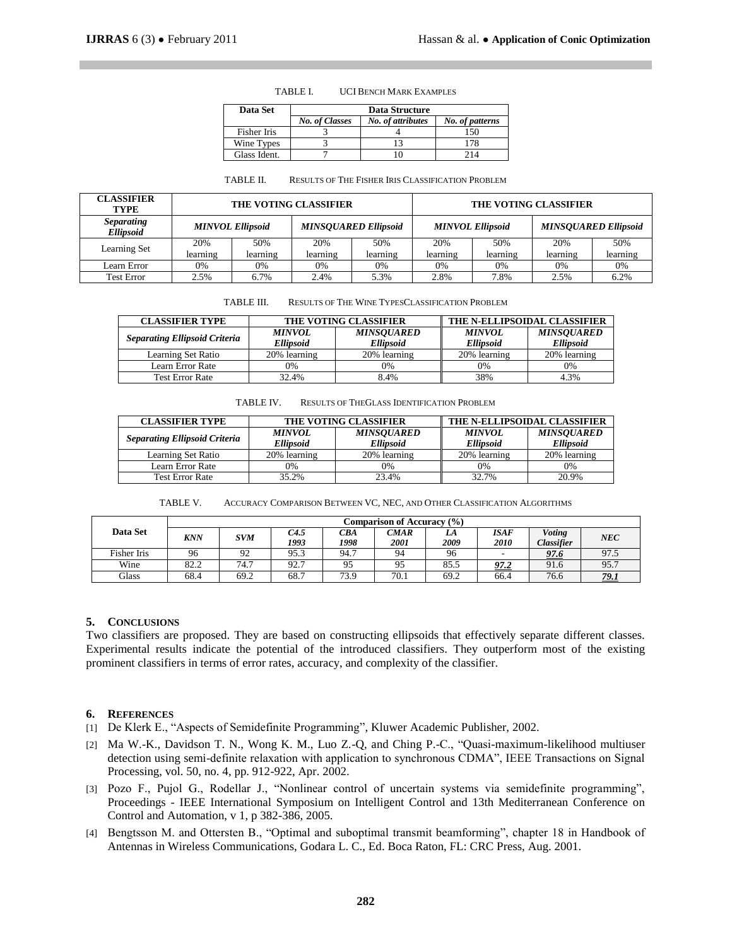| Data Set     | Data Structure        |                   |                 |  |  |  |  |
|--------------|-----------------------|-------------------|-----------------|--|--|--|--|
|              | <b>No. of Classes</b> | No. of attributes | No. of patterns |  |  |  |  |
| Fisher Iris  |                       |                   | 150             |  |  |  |  |
| Wine Types   |                       |                   | 178             |  |  |  |  |
| Glass Ident. |                       |                   | 214             |  |  |  |  |

#### TABLE I. UCI BENCH MARK EXAMPLES

| TABLE II. |  | <b>RESULTS OF THE FISHER IRIS CLASSIFICATION PROBLEM</b> |
|-----------|--|----------------------------------------------------------|
|-----------|--|----------------------------------------------------------|

| <b>CLASSIFIER</b><br><b>TYPE</b>      | THE VOTING CLASSIFIER |                         |                             |          | THE VOTING CLASSIFIER   |          |                             |          |  |
|---------------------------------------|-----------------------|-------------------------|-----------------------------|----------|-------------------------|----------|-----------------------------|----------|--|
| <i>Separating</i><br><b>Ellipsoid</b> |                       | <b>MINVOL Ellipsoid</b> | <b>MINSOUARED Ellipsoid</b> |          | <b>MINVOL Ellipsoid</b> |          | <b>MINSOUARED Ellipsoid</b> |          |  |
| Learning Set                          | 20%                   | 50%                     | 20%                         | 50%      | 20%                     | 50%      | 20%                         | 50%      |  |
|                                       | learning              | learning                | learning                    | learning | learning                | learning | learning                    | learning |  |
| Learn Error                           | 0%                    | 0%                      | 0%                          | 0%       | 0%                      | 0%       | 0%                          | 0%       |  |
| <b>Test Error</b>                     | 2.5%                  | 6.7%                    | 2.4%                        | 5.3%     | 2.8%                    | 7.8%     | 2.5%                        | 6.2%     |  |

| TABLE III. | <b>RESULTS OF THE WINE TYPESCLASSIFICATION PROBLEM</b> |
|------------|--------------------------------------------------------|
|            |                                                        |

| <b>CLASSIFIER TYPE</b>               |                                   | <b>THE VOTING CLASSIFIER</b>          | THE N-ELLIPSOIDAL CLASSIFIER      |                                       |  |  |
|--------------------------------------|-----------------------------------|---------------------------------------|-----------------------------------|---------------------------------------|--|--|
| <b>Separating Ellipsoid Criteria</b> | <b>MINVOL</b><br><b>Ellipsoid</b> | <b>MINSOUARED</b><br><b>Ellipsoid</b> | <b>MINVOL</b><br><b>Ellipsoid</b> | <b>MINSOUARED</b><br><b>Ellipsoid</b> |  |  |
| Learning Set Ratio                   | 20% learning                      | 20% learning                          | 20% learning                      | 20% learning                          |  |  |
| Learn Error Rate                     | 0%                                | 0%                                    | 0%                                | 0%                                    |  |  |
| <b>Test Error Rate</b>               | 32.4%                             | 8.4%                                  | 38%                               | 4.3%                                  |  |  |

TABLE IV. RESULTS OF THEGLASS IDENTIFICATION PROBLEM

| <b>CLASSIFIER TYPE</b>               |                  | <b>THE VOTING CLASSIFIER</b> | THE N-ELLIPSOIDAL CLASSIFIER |                   |  |  |
|--------------------------------------|------------------|------------------------------|------------------------------|-------------------|--|--|
| <b>Separating Ellipsoid Criteria</b> | <b>MINVOL</b>    | <b>MINSOUARED</b>            | <b>MINVOL</b>                | <b>MINSOUARED</b> |  |  |
|                                      | <b>Ellipsoid</b> | <b>Ellipsoid</b>             | <b>Ellipsoid</b>             | <b>Ellipsoid</b>  |  |  |
| Learning Set Ratio                   | 20% learning     | 20% learning                 | 20% learning                 | 20% learning      |  |  |
| Learn Error Rate                     | 0%               | 0%                           | 0%                           | 0%                |  |  |
| <b>Test Error Rate</b>               | 35.2%            | 23.4%                        | 32.7%                        | 20.9%             |  |  |

| TABLE V. |  | ACCURACY COMPARISON BETWEEN VC. NEC. AND OTHER CLASSIFICATION ALGORITHMS |
|----------|--|--------------------------------------------------------------------------|
|----------|--|--------------------------------------------------------------------------|

|             | Comparison of Accuracy (%) |            |              |             |              |            |                     |                                    |      |
|-------------|----------------------------|------------|--------------|-------------|--------------|------------|---------------------|------------------------------------|------|
| Data Set    | <b>KNN</b>                 | <b>SVM</b> | C4.5<br>1993 | CВA<br>1998 | CMAR<br>2001 | LA<br>2009 | <b>ISAF</b><br>2010 | <b>Voting</b><br><b>Classifier</b> | NEC  |
| Fisher Iris | 96                         | 92         | 95.3         | 94.7        | 94           | 96         |                     | 97.6                               | 97.5 |
| Wine        | 82.2                       | 74.7       | 92.7         | 95          | 95           | 85.5       | <u>97.2</u>         | 91.6                               | 95.7 |
| Glass       | 68.4                       | 69.2       | 68.7         | 73.9        | 70.1         | 69.2       | 66.4                | 76.6                               | 79.1 |

### **5. CONCLUSIONS**

Two classifiers are proposed. They are based on constructing ellipsoids that effectively separate different classes. Experimental results indicate the potential of the introduced classifiers. They outperform most of the existing prominent classifiers in terms of error rates, accuracy, and complexity of the classifier.

#### **6. REFERENCES**

- [1] De Klerk E., "Aspects of Semidefinite Programming", Kluwer Academic Publisher, 2002.
- [2] Ma W.-K., Davidson T. N., Wong K. M., Luo Z.-Q, and Ching P.-C., "Quasi-maximum-likelihood multiuser detection using semi-definite relaxation with application to synchronous CDMA", IEEE Transactions on Signal Processing, vol. 50, no. 4, pp. 912-922, Apr. 2002.
- [3] Pozo F., Pujol G., Rodellar J., "Nonlinear control of uncertain systems via semidefinite programming", Proceedings - IEEE International Symposium on Intelligent Control and 13th Mediterranean Conference on Control and Automation, v 1, p 382-386, 2005.
- [4] Bengtsson M. and Ottersten B., "Optimal and suboptimal transmit beamforming", chapter 18 in Handbook of Antennas in Wireless Communications, Godara L. C., Ed. Boca Raton, FL: CRC Press, Aug. 2001.